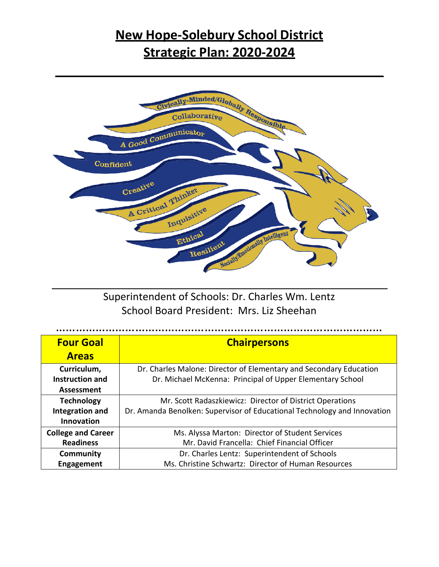# **New Hope-Solebury School District Strategic Plan: 2020-2024**



Superintendent of Schools: Dr. Charles Wm. Lentz School Board President: Mrs. Liz Sheehan

| <b>Four Goal</b>          | <b>Chairpersons</b>                                                      |
|---------------------------|--------------------------------------------------------------------------|
| <b>Areas</b>              |                                                                          |
| Curriculum,               | Dr. Charles Malone: Director of Elementary and Secondary Education       |
| Instruction and           | Dr. Michael McKenna: Principal of Upper Elementary School                |
| Assessment                |                                                                          |
| <b>Technology</b>         | Mr. Scott Radaszkiewicz: Director of District Operations                 |
| <b>Integration and</b>    | Dr. Amanda Benolken: Supervisor of Educational Technology and Innovation |
| <b>Innovation</b>         |                                                                          |
| <b>College and Career</b> | Ms. Alyssa Marton: Director of Student Services                          |
| <b>Readiness</b>          | Mr. David Francella: Chief Financial Officer                             |
| Community                 | Dr. Charles Lentz: Superintendent of Schools                             |
| Engagement                | Ms. Christine Schwartz: Director of Human Resources                      |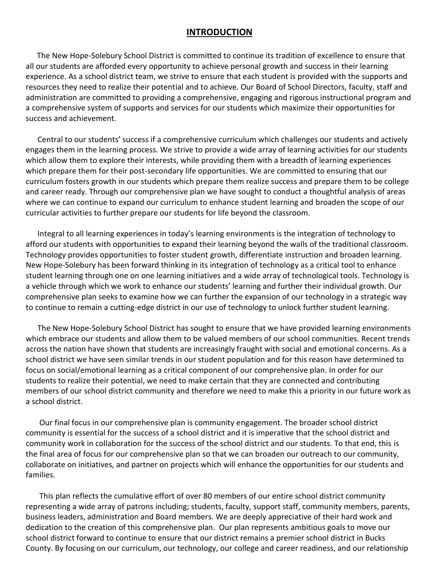### **INTRODUCTION**

The New Hope-Solebury School District is committed to continue its tradition of excellence to ensure that all our students are afforded every opportunity to achieve personal growth and success in their learning experience. As a school district team, we strive to ensure that each student is provided with the supports and resources they need to realize their potential and to achieve. Our Board of School Directors, faculty, staff and administration are committed to providing a comprehensive, engaging and rigorous instructional program and a comprehensive system of supports and services for our students which maximize their opportunities for success and achievement.

Central to our students' success if a comprehensive curriculum which challenges our students and actively engages them in the learning process. We strive to provide a wide array of learning activities for our students which allow them to explore their interests, while providing them with a breadth of learning experiences which prepare them for their post-secondary life opportunities. We are committed to ensuring that our curriculum fosters growth in our students which prepare them realize success and prepare them to be college and career ready. Through our comprehensive plan we have sought to conduct a thoughtful analysis of areas where we can continue to expand our curriculum to enhance student learning and broaden the scope of our curricular activities to further prepare our students for life beyond the classroom.

Integral to all learning experiences in today's learning environments is the integration of technology to afford our students with opportunities to expand their learning beyond the walls of the traditional classroom. Technology provides opportunities to foster student growth, differentiate instruction and broaden learning. New Hope-Solebury has been forward thinking in its integration of technology as a critical tool to enhance student learning through one on one learning initiatives and a wide array of technological tools. Technology is a vehicle through which we work to enhance our students' learning and further their individual growth. Our comprehensive plan seeks to examine how we can further the expansion of our technology in a strategic way to continue to remain a cutting-edge district in our use of technology to unlock further student learning.

The New Hope-Solebury School District has sought to ensure that we have provided learning environments which embrace our students and allow them to be valued members of our school communities. Recent trends across the nation have shown that students are increasingly fraught with social and emotional concerns. As a school district we have seen similar trends in our student population and for this reason have determined to focus on social/emotional learning as a critical component of our comprehensive plan. In order for our students to realize their potential, we need to make certain that they are connected and contributing members of our school district community and therefore we need to make this a priority in our future work as a school district.

Our final focus in our comprehensive plan is community engagement. The broader school district community is essential for the success of a school district and it is imperative that the school district and community work in collaboration for the success of the school district and our students. To that end, this is the final area of focus for our comprehensive plan so that we can broaden our outreach to our community, collaborate on initiatives, and partner on projects which will enhance the opportunities for our students and families.

This plan reflects the cumulative effort of over 80 members of our entire school district community representing a wide array of patrons including; students, faculty, support staff, community members, parents, business leaders, administration and Board members. We are deeply appreciative of their hard work and dedication to the creation of this comprehensive plan. Our plan represents ambitious goals to move our school district forward to continue to ensure that our district remains a premier school district in Bucks County. By focusing on our curriculum, our technology, our college and career readiness, and our relationship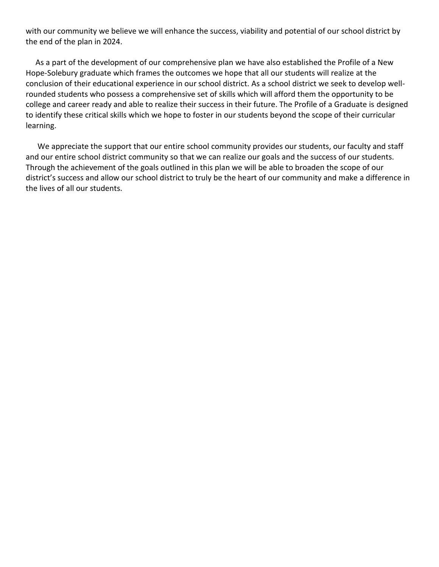with our community we believe we will enhance the success, viability and potential of our school district by the end of the plan in 2024.

As a part of the development of our comprehensive plan we have also established the Profile of a New Hope-Solebury graduate which frames the outcomes we hope that all our students will realize at the conclusion of their educational experience in our school district. As a school district we seek to develop wellrounded students who possess a comprehensive set of skills which will afford them the opportunity to be college and career ready and able to realize their success in their future. The Profile of a Graduate is designed to identify these critical skills which we hope to foster in our students beyond the scope of their curricular learning.

We appreciate the support that our entire school community provides our students, our faculty and staff and our entire school district community so that we can realize our goals and the success of our students. Through the achievement of the goals outlined in this plan we will be able to broaden the scope of our district's success and allow our school district to truly be the heart of our community and make a difference in the lives of all our students.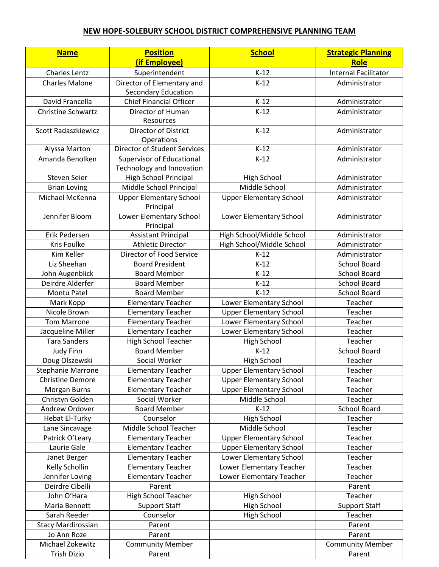### **NEW HOPE-SOLEBURY SCHOOL DISTRICT COMPREHENSIVE PLANNING TEAM**

| <b>Name</b>               | <b>Position</b>                     | <b>School</b>                  | <b>Strategic Planning</b>   |
|---------------------------|-------------------------------------|--------------------------------|-----------------------------|
|                           | (if Employee)                       |                                | <b>Role</b>                 |
| Charles Lentz             | Superintendent                      | $K-12$                         | <b>Internal Facilitator</b> |
| <b>Charles Malone</b>     | Director of Elementary and          | $K-12$                         | Administrator               |
|                           | <b>Secondary Education</b>          |                                |                             |
| David Francella           | <b>Chief Financial Officer</b>      | $K-12$                         | Administrator               |
| <b>Christine Schwartz</b> | Director of Human                   | $K-12$                         | Administrator               |
|                           | Resources                           |                                |                             |
| Scott Radaszkiewicz       | <b>Director of District</b>         | $K-12$                         | Administrator               |
|                           | Operations                          |                                |                             |
| Alyssa Marton             | <b>Director of Student Services</b> | $K-12$                         | Administrator               |
| Amanda Benolken           | <b>Supervisor of Educational</b>    | $K-12$                         | Administrator               |
|                           | Technology and Innovation           |                                |                             |
| Steven Seier              | High School Principal               | <b>High School</b>             | Administrator               |
| <b>Brian Loving</b>       | Middle School Principal             | Middle School                  | Administrator               |
| Michael McKenna           | <b>Upper Elementary School</b>      | <b>Upper Elementary School</b> | Administrator               |
|                           | Principal                           |                                |                             |
| Jennifer Bloom            | Lower Elementary School             | Lower Elementary School        | Administrator               |
|                           | Principal                           |                                |                             |
| Erik Pedersen             | <b>Assistant Principal</b>          | High School/Middle School      | Administrator               |
| Kris Foulke               | <b>Athletic Director</b>            | High School/Middle School      | Administrator               |
| Kim Keller                | Director of Food Service            | $K-12$                         | Administrator               |
| Liz Sheehan               | <b>Board President</b>              | $K-12$                         | <b>School Board</b>         |
| John Augenblick           | <b>Board Member</b>                 | $K-12$                         | <b>School Board</b>         |
| Deirdre Alderfer          | <b>Board Member</b>                 | $K-12$                         | <b>School Board</b>         |
| Montu Patel               | <b>Board Member</b>                 | $K-12$                         | <b>School Board</b>         |
| Mark Kopp                 | <b>Elementary Teacher</b>           | Lower Elementary School        | Teacher                     |
| Nicole Brown              | <b>Elementary Teacher</b>           | <b>Upper Elementary School</b> | Teacher                     |
| <b>Tom Marrone</b>        | <b>Elementary Teacher</b>           | Lower Elementary School        | Teacher                     |
| Jacqueline Miller         | <b>Elementary Teacher</b>           | Lower Elementary School        | Teacher                     |
| <b>Tara Sanders</b>       | <b>High School Teacher</b>          | <b>High School</b>             | Teacher                     |
| <b>Judy Finn</b>          | <b>Board Member</b>                 | $K-12$                         | <b>School Board</b>         |
| Doug Olszewski            | Social Worker                       | <b>High School</b>             | Teacher                     |
| <b>Stephanie Marrone</b>  | <b>Elementary Teacher</b>           | <b>Upper Elementary School</b> | Teacher                     |
| <b>Christine Demore</b>   | <b>Elementary Teacher</b>           | <b>Upper Elementary School</b> | Teacher                     |
| Morgan Burns              | <b>Elementary Teacher</b>           | <b>Upper Elementary School</b> | Teacher                     |
| Christyn Golden           | Social Worker                       | Middle School                  | Teacher                     |
| Andrew Ordover            | <b>Board Member</b>                 | $K-12$                         | <b>School Board</b>         |
| <b>Hebat El-Turky</b>     | Counselor                           | <b>High School</b>             | Teacher                     |
| Lane Sincavage            | Middle School Teacher               | Middle School                  | Teacher                     |
| Patrick O'Leary           | <b>Elementary Teacher</b>           | <b>Upper Elementary School</b> | Teacher                     |
| Laurie Gale               | <b>Elementary Teacher</b>           | <b>Upper Elementary School</b> | Teacher                     |
| Janet Berger              | <b>Elementary Teacher</b>           | Lower Elementary School        | Teacher                     |
| Kelly Schollin            | <b>Elementary Teacher</b>           | Lower Elementary Teacher       | Teacher                     |
| Jennifer Loving           | <b>Elementary Teacher</b>           | Lower Elementary Teacher       | Teacher                     |
| Deirdre Cibelli           | Parent                              |                                | Parent                      |
| John O'Hara               | <b>High School Teacher</b>          | <b>High School</b>             | Teacher                     |
| Maria Bennett             | <b>Support Staff</b>                | High School                    | <b>Support Staff</b>        |
| Sarah Reeder              | Counselor                           | High School                    | Teacher                     |
| <b>Stacy Mardirossian</b> | Parent                              |                                | Parent                      |
| Jo Ann Roze               | Parent                              |                                | Parent                      |
| Michael Zokewitz          | <b>Community Member</b>             |                                | <b>Community Member</b>     |
| <b>Trish Dizio</b>        | Parent                              |                                | Parent                      |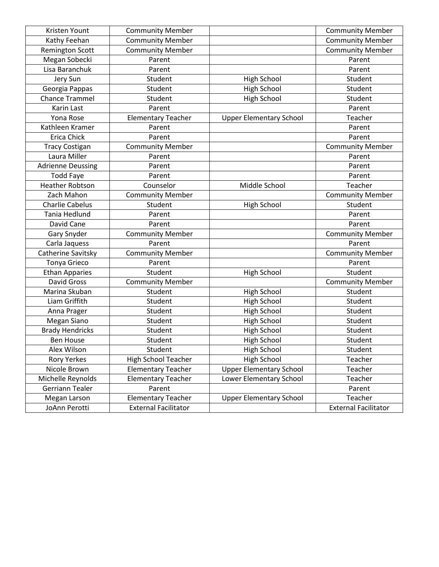| Kristen Yount            | <b>Community Member</b>     |                                | <b>Community Member</b>     |
|--------------------------|-----------------------------|--------------------------------|-----------------------------|
| Kathy Feehan             | <b>Community Member</b>     |                                | <b>Community Member</b>     |
| <b>Remington Scott</b>   | <b>Community Member</b>     |                                | <b>Community Member</b>     |
| Megan Sobecki            | Parent                      |                                | Parent                      |
| Lisa Baranchuk           | Parent                      |                                | Parent                      |
| Jery Sun                 | Student                     | <b>High School</b>             | Student                     |
| Georgia Pappas           | Student                     | <b>High School</b>             | Student                     |
| <b>Chance Trammel</b>    | Student                     | <b>High School</b>             | Student                     |
| Karin Last               | Parent                      |                                | Parent                      |
| Yona Rose                | <b>Elementary Teacher</b>   | <b>Upper Elementary School</b> | Teacher                     |
| Kathleen Kramer          | Parent                      |                                | Parent                      |
| Erica Chick              | Parent                      |                                | Parent                      |
| <b>Tracy Costigan</b>    | <b>Community Member</b>     |                                | <b>Community Member</b>     |
| Laura Miller             | Parent                      |                                | Parent                      |
| <b>Adrienne Deussing</b> | Parent                      |                                | Parent                      |
| <b>Todd Faye</b>         | Parent                      |                                | Parent                      |
| <b>Heather Robtson</b>   | Counselor                   | Middle School                  | Teacher                     |
| Zach Mahon               | <b>Community Member</b>     |                                | <b>Community Member</b>     |
| <b>Charlie Cabelus</b>   | Student                     | High School                    | Student                     |
| <b>Tania Hedlund</b>     | Parent                      |                                | Parent                      |
| David Cane               | Parent                      |                                | Parent                      |
| Gary Snyder              | <b>Community Member</b>     |                                | <b>Community Member</b>     |
| Carla Jaquess            | Parent                      |                                | Parent                      |
| Catherine Savitsky       | <b>Community Member</b>     |                                | <b>Community Member</b>     |
| <b>Tonya Grieco</b>      | Parent                      |                                | Parent                      |
| <b>Ethan Apparies</b>    | Student                     | High School                    | Student                     |
| <b>David Gross</b>       | <b>Community Member</b>     |                                | <b>Community Member</b>     |
| Marina Skuban            | Student                     | High School                    | Student                     |
| Liam Griffith            | Student                     | High School                    | Student                     |
| Anna Prager              | Student                     | <b>High School</b>             | Student                     |
| Megan Siano              | Student                     | <b>High School</b>             | Student                     |
| <b>Brady Hendricks</b>   | Student                     | <b>High School</b>             | Student                     |
| <b>Ben House</b>         | Student                     | <b>High School</b>             | Student                     |
| Alex Wilson              | Student                     | <b>High School</b>             | Student                     |
| <b>Rory Yerkes</b>       | <b>High School Teacher</b>  | <b>High School</b>             | Teacher                     |
| Nicole Brown             | <b>Elementary Teacher</b>   | <b>Upper Elementary School</b> | Teacher                     |
| Michelle Reynolds        | <b>Elementary Teacher</b>   | Lower Elementary School        | Teacher                     |
| Gerriann Tealer          | Parent                      |                                | Parent                      |
| Megan Larson             | <b>Elementary Teacher</b>   | <b>Upper Elementary School</b> | Teacher                     |
| JoAnn Perotti            | <b>External Facilitator</b> |                                | <b>External Facilitator</b> |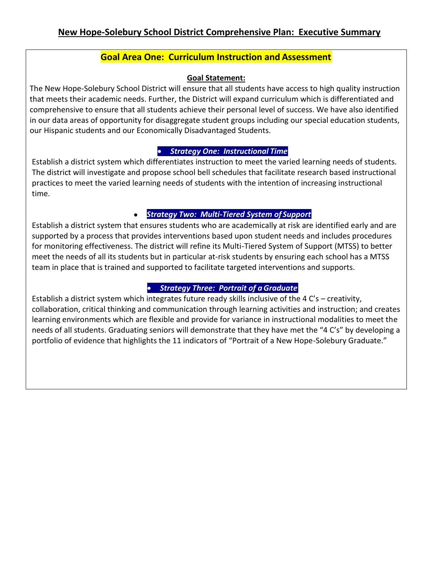# **Goal Area One: Curriculum Instruction and Assessment**

### **Goal Statement:**

The New Hope-Solebury School District will ensure that all students have access to high quality instruction that meets their academic needs. Further, the District will expand curriculum which is differentiated and comprehensive to ensure that all students achieve their personal level of success. We have also identified in our data areas of opportunity for disaggregate student groups including our special education students, our Hispanic students and our Economically Disadvantaged Students.

### • *Strategy One: Instructional Time*

Establish a district system which differentiates instruction to meet the varied learning needs of students. The district will investigate and propose school bell schedules that facilitate research based instructional practices to meet the varied learning needs of students with the intention of increasing instructional time.

#### • *Strategy Two: Multi-Tiered System of Support*

Establish a district system that ensures students who are academically at risk are identified early and are supported by a process that provides interventions based upon student needs and includes procedures for monitoring effectiveness. The district will refine its Multi-Tiered System of Support (MTSS) to better meet the needs of all its students but in particular at-risk students by ensuring each school has a MTSS team in place that is trained and supported to facilitate targeted interventions and supports.

### • *Strategy Three: Portrait of aGraduate*

Establish a district system which integrates future ready skills inclusive of the 4 C's – creativity, collaboration, critical thinking and communication through learning activities and instruction; and creates learning environments which are flexible and provide for variance in instructional modalities to meet the needs of all students. Graduating seniors will demonstrate that they have met the "4 C's" by developing a portfolio of evidence that highlights the 11 indicators of "Portrait of a New Hope-Solebury Graduate."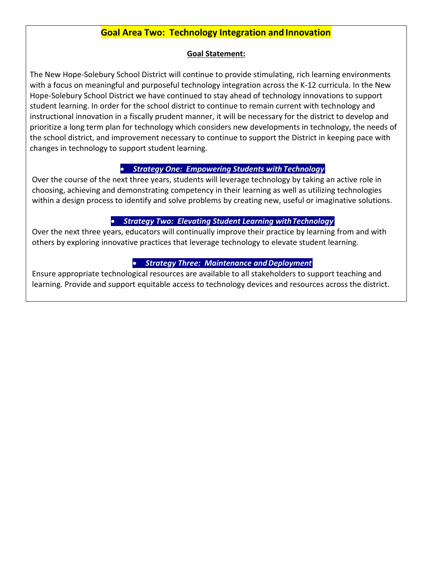## **Goal Area Two: Technology Integration and Innovation**

### **Goal Statement:**

The New Hope-Solebury School District will continue to provide stimulating, rich learning environments with a focus on meaningful and purposeful technology integration across the K-12 curricula. In the New Hope-Solebury School District we have continued to stay ahead of technology innovations to support student learning. In order for the school district to continue to remain current with technology and instructional innovation in a fiscally prudent manner, it will be necessary for the district to develop and prioritize a long term plan for technology which considers new developments in technology, the needs of the school district, and improvement necessary to continue to support the District in keeping pace with changes in technology to support student learning.

### • *Strategy One: Empowering Students with Technology*

Over the course of the next three years, students will leverage technology by taking an active role in choosing, achieving and demonstrating competency in their learning as well as utilizing technologies within a design process to identify and solve problems by creating new, useful or imaginative solutions.

### • *Strategy Two: Elevating Student Learning withTechnology*

Over the next three years, educators will continually improve their practice by learning from and with others by exploring innovative practices that leverage technology to elevate student learning.

### **• Strategy Three: Maintenance and Deployment**

Ensure appropriate technological resources are available to all stakeholders to support teaching and learning. Provide and support equitable access to technology devices and resources across the district.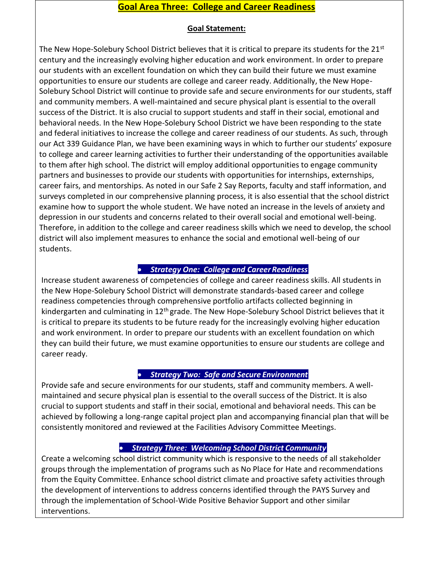## **Goal Area Three: College and Career Readiness**

### **Goal Statement:**

The New Hope-Solebury School District believes that it is critical to prepare its students for the  $21^{st}$ century and the increasingly evolving higher education and work environment. In order to prepare our students with an excellent foundation on which they can build their future we must examine opportunities to ensure our students are college and career ready. Additionally, the New Hope-Solebury School District will continue to provide safe and secure environments for our students, staff and community members. A well-maintained and secure physical plant is essential to the overall success of the District. It is also crucial to support students and staff in their social, emotional and behavioral needs. In the New Hope-Solebury School District we have been responding to the state and federal initiatives to increase the college and career readiness of our students. As such, through our Act 339 Guidance Plan, we have been examining ways in which to further our students' exposure to college and career learning activities to further their understanding of the opportunities available to them after high school. The district will employ additional opportunities to engage community partners and businesses to provide our students with opportunities for internships, externships, career fairs, and mentorships. As noted in our Safe 2 Say Reports, faculty and staff information, and surveys completed in our comprehensive planning process, it is also essential that the school district examine how to support the whole student. We have noted an increase in the levels of anxiety and depression in our students and concerns related to their overall social and emotional well-being. Therefore, in addition to the college and career readiness skills which we need to develop, the school district will also implement measures to enhance the social and emotional well-being of our students.

### • *Strategy One: College and CareerReadiness*

Increase student awareness of competencies of college and career readiness skills. All students in the New Hope-Solebury School District will demonstrate standards-based career and college readiness competencies through comprehensive portfolio artifacts collected beginning in kindergarten and culminating in 12<sup>th</sup> grade. The New Hope-Solebury School District believes that it is critical to prepare its students to be future ready for the increasingly evolving higher education and work environment. In order to prepare our students with an excellent foundation on which they can build their future, we must examine opportunities to ensure our students are college and career ready.

### • *Strategy Two: Safe and Secure Environment*

Provide safe and secure environments for our students, staff and community members. A wellmaintained and secure physical plan is essential to the overall success of the District. It is also crucial to support students and staff in their social, emotional and behavioral needs. This can be achieved by following a long-range capital project plan and accompanying financial plan that will be consistently monitored and reviewed at the Facilities Advisory Committee Meetings.

### • *Strategy Three: Welcoming School District Community*

Create a welcoming school district community which is responsive to the needs of all stakeholder groups through the implementation of programs such as No Place for Hate and recommendations from the Equity Committee. Enhance school district climate and proactive safety activities through the development of interventions to address concerns identified through the PAYS Survey and through the implementation of School-Wide Positive Behavior Support and other similar interventions.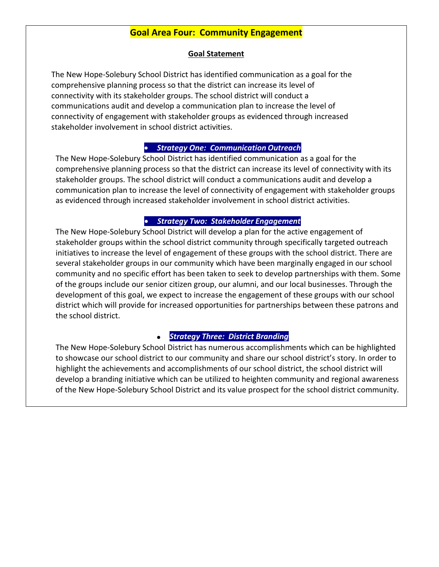### **Goal Area Four: Community Engagement**

### **Goal Statement**

The New Hope-Solebury School District has identified communication as a goal for the comprehensive planning process so that the district can increase its level of connectivity with its stakeholder groups. The school district will conduct a communications audit and develop a communication plan to increase the level of connectivity of engagement with stakeholder groups as evidenced through increased stakeholder involvement in school district activities.

### • *Strategy One: Communication Outreach*

The New Hope-Solebury School District has identified communication as a goal for the comprehensive planning process so that the district can increase its level of connectivity with its stakeholder groups. The school district will conduct a communications audit and develop a communication plan to increase the level of connectivity of engagement with stakeholder groups as evidenced through increased stakeholder involvement in school district activities.

### • *Strategy Two: Stakeholder Engagement*

The New Hope-Solebury School District will develop a plan for the active engagement of stakeholder groups within the school district community through specifically targeted outreach initiatives to increase the level of engagement of these groups with the school district. There are several stakeholder groups in our community which have been marginally engaged in our school community and no specific effort has been taken to seek to develop partnerships with them. Some of the groups include our senior citizen group, our alumni, and our local businesses. Through the development of this goal, we expect to increase the engagement of these groups with our school district which will provide for increased opportunities for partnerships between these patrons and the school district.

#### • *Strategy Three: District Branding*

The New Hope-Solebury School District has numerous accomplishments which can be highlighted to showcase our school district to our community and share our school district's story. In order to highlight the achievements and accomplishments of our school district, the school district will develop a branding initiative which can be utilized to heighten community and regional awareness of the New Hope-Solebury School District and its value prospect for the school district community.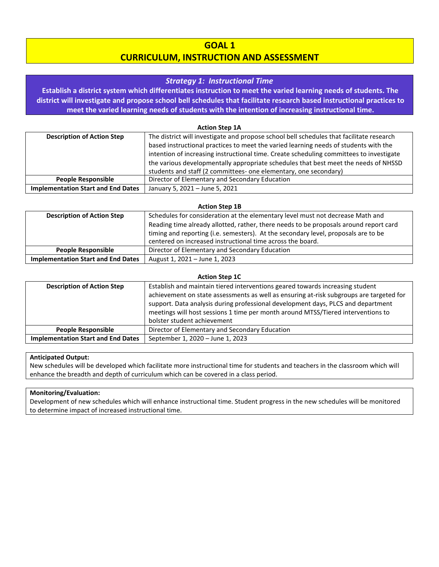### **GOAL 1**

### **CURRICULUM, INSTRUCTION AND ASSESSMENT**

#### *Strategy 1: Instructional Time*

**Establish a district system which differentiates instruction to meet the varied learning needs of students. The district will investigate and propose school bell schedules that facilitate research based instructional practices to meet the varied learning needs of students with the intention of increasing instructional time.**

#### **Action Step 1A**

| <b>Description of Action Step</b>         | The district will investigate and propose school bell schedules that facilitate research |
|-------------------------------------------|------------------------------------------------------------------------------------------|
|                                           | based instructional practices to meet the varied learning needs of students with the     |
|                                           | intention of increasing instructional time. Create scheduling committees to investigate  |
|                                           | the various developmentally appropriate schedules that best meet the needs of NHSSD      |
|                                           | students and staff (2 committees- one elementary, one secondary)                         |
| <b>People Responsible</b>                 | Director of Elementary and Secondary Education                                           |
| <b>Implementation Start and End Dates</b> | January 5, 2021 - June 5, 2021                                                           |

#### **Action Step 1B**

| <b>Description of Action Step</b>         | Schedules for consideration at the elementary level must not decrease Math and<br>Reading time already allotted, rather, there needs to be proposals around report card<br>timing and reporting (i.e. semesters). At the secondary level, proposals are to be<br>centered on increased instructional time across the board. |
|-------------------------------------------|-----------------------------------------------------------------------------------------------------------------------------------------------------------------------------------------------------------------------------------------------------------------------------------------------------------------------------|
|                                           |                                                                                                                                                                                                                                                                                                                             |
| <b>People Responsible</b>                 | Director of Elementary and Secondary Education                                                                                                                                                                                                                                                                              |
| <b>Implementation Start and End Dates</b> | August 1, 2021 - June 1, 2023                                                                                                                                                                                                                                                                                               |

#### **Action Step 1C**

| <b>Description of Action Step</b>         | Establish and maintain tiered interventions geared towards increasing student<br>achievement on state assessments as well as ensuring at-risk subgroups are targeted for<br>support. Data analysis during professional development days, PLCS and department<br>meetings will host sessions 1 time per month around MTSS/Tiered interventions to<br>bolster student achievement |
|-------------------------------------------|---------------------------------------------------------------------------------------------------------------------------------------------------------------------------------------------------------------------------------------------------------------------------------------------------------------------------------------------------------------------------------|
| <b>People Responsible</b>                 | Director of Elementary and Secondary Education                                                                                                                                                                                                                                                                                                                                  |
| <b>Implementation Start and End Dates</b> | September 1, 2020 - June 1, 2023                                                                                                                                                                                                                                                                                                                                                |

#### **Anticipated Output:**

New schedules will be developed which facilitate more instructional time for students and teachers in the classroom which will enhance the breadth and depth of curriculum which can be covered in a class period.

#### **Monitoring/Evaluation:**

Development of new schedules which will enhance instructional time. Student progress in the new schedules will be monitored to determine impact of increased instructional time.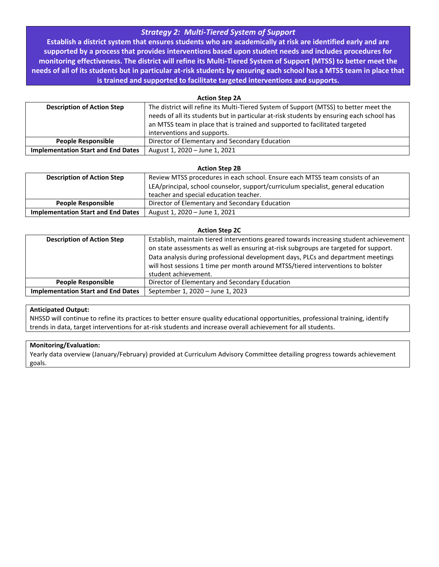### *Strategy 2: Multi-Tiered System of Support*

**Establish a district system that ensures students who are academically at risk are identified early and are supported by a process that provides interventions based upon student needs and includes procedures for monitoring effectiveness. The district will refine its Multi-Tiered System of Support (MTSS) to better meet the needs of all of its students but in particular at-risk students by ensuring each school has a MTSS team in place that is trained and supported to facilitate targeted interventions and supports.**

| <b>Action Step 2A</b>                     |                                                                                          |  |
|-------------------------------------------|------------------------------------------------------------------------------------------|--|
| <b>Description of Action Step</b>         | The district will refine its Multi-Tiered System of Support (MTSS) to better meet the    |  |
|                                           | needs of all its students but in particular at-risk students by ensuring each school has |  |
|                                           | an MTSS team in place that is trained and supported to facilitated targeted              |  |
|                                           | interventions and supports.                                                              |  |
| <b>People Responsible</b>                 | Director of Elementary and Secondary Education                                           |  |
| <b>Implementation Start and End Dates</b> | August 1, 2020 - June 1, 2021                                                            |  |

#### **Action Step 2B**

| <b>Description of Action Step</b>         | Review MTSS procedures in each school. Ensure each MTSS team consists of an       |
|-------------------------------------------|-----------------------------------------------------------------------------------|
|                                           | LEA/principal, school counselor, support/curriculum specialist, general education |
|                                           | teacher and special education teacher.                                            |
| <b>People Responsible</b>                 | Director of Elementary and Secondary Education                                    |
| <b>Implementation Start and End Dates</b> | August 1, 2020 – June 1, 2021                                                     |

#### **Action Step 2C**

| <b>Description of Action Step</b>         | Establish, maintain tiered interventions geared towards increasing student achievement<br>on state assessments as well as ensuring at-risk subgroups are targeted for support.<br>Data analysis during professional development days, PLCs and department meetings<br>will host sessions 1 time per month around MTSS/tiered interventions to bolster<br>student achievement. |  |
|-------------------------------------------|-------------------------------------------------------------------------------------------------------------------------------------------------------------------------------------------------------------------------------------------------------------------------------------------------------------------------------------------------------------------------------|--|
| <b>People Responsible</b>                 | Director of Elementary and Secondary Education                                                                                                                                                                                                                                                                                                                                |  |
| <b>Implementation Start and End Dates</b> | September 1, 2020 - June 1, 2023                                                                                                                                                                                                                                                                                                                                              |  |

#### **Anticipated Output:**

NHSSD will continue to refine its practices to better ensure quality educational opportunities, professional training, identify trends in data, target interventions for at-risk students and increase overall achievement for all students.

#### **Monitoring/Evaluation:**

Yearly data overview (January/February) provided at Curriculum Advisory Committee detailing progress towards achievement goals.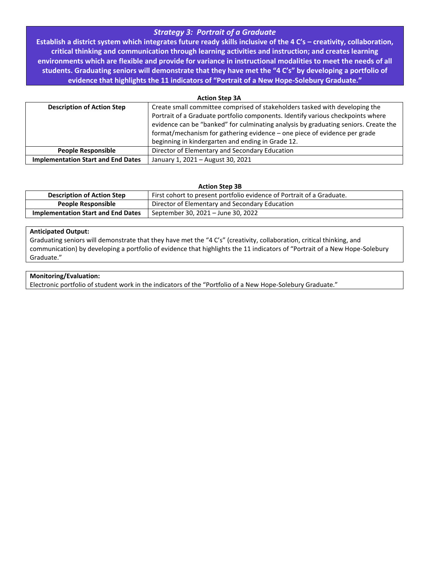### *Strategy 3: Portrait of a Graduate*

**Establish a district system which integrates future ready skills inclusive of the 4 C's – creativity, collaboration, critical thinking and communication through learning activities and instruction; and creates learning environments which are flexible and provide for variance in instructional modalities to meet the needs of all students. Graduating seniors will demonstrate that they have met the "4 C's" by developing a portfolio of evidence that highlights the 11 indicators of "Portrait of a New Hope-Solebury Graduate."**

| <b>Action Step 3A</b>                     |                                                                                     |  |
|-------------------------------------------|-------------------------------------------------------------------------------------|--|
| <b>Description of Action Step</b>         | Create small committee comprised of stakeholders tasked with developing the         |  |
|                                           | Portrait of a Graduate portfolio components. Identify various checkpoints where     |  |
|                                           | evidence can be "banked" for culminating analysis by graduating seniors. Create the |  |
|                                           | format/mechanism for gathering evidence - one piece of evidence per grade           |  |
|                                           | beginning in kindergarten and ending in Grade 12.                                   |  |
| <b>People Responsible</b>                 | Director of Elementary and Secondary Education                                      |  |
| <b>Implementation Start and End Dates</b> | January 1, 2021 - August 30, 2021                                                   |  |

#### **Action Step 3B**

| <b>Description of Action Step</b>         | First cohort to present portfolio evidence of Portrait of a Graduate. |
|-------------------------------------------|-----------------------------------------------------------------------|
| <b>People Responsible</b>                 | Director of Elementary and Secondary Education                        |
| <b>Implementation Start and End Dates</b> | September 30, 2021 – June 30, 2022                                    |

#### **Anticipated Output:**

Graduating seniors will demonstrate that they have met the "4 C's" (creativity, collaboration, critical thinking, and communication) by developing a portfolio of evidence that highlights the 11 indicators of "Portrait of a New Hope-Solebury Graduate."

#### **Monitoring/Evaluation:**

Electronic portfolio of student work in the indicators of the "Portfolio of a New Hope-Solebury Graduate."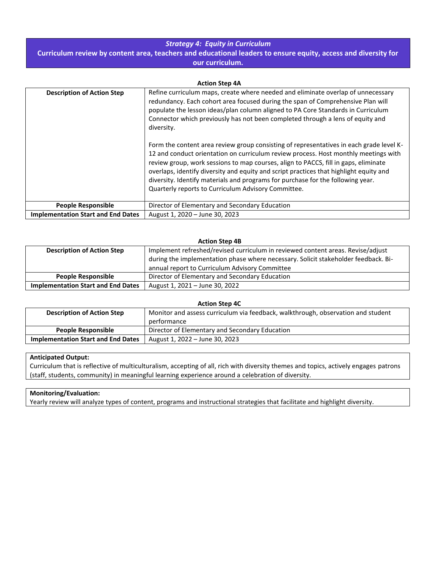### *Strategy 4: Equity in Curriculum*

**Curriculum review by content area, teachers and educational leaders to ensure equity, access and diversity for our curriculum.**

| <b>Action Step 4A</b>                     |                                                                                                                                                                                                                                                                                                                                                                                                                                                                                                           |  |
|-------------------------------------------|-----------------------------------------------------------------------------------------------------------------------------------------------------------------------------------------------------------------------------------------------------------------------------------------------------------------------------------------------------------------------------------------------------------------------------------------------------------------------------------------------------------|--|
| <b>Description of Action Step</b>         | Refine curriculum maps, create where needed and eliminate overlap of unnecessary<br>redundancy. Each cohort area focused during the span of Comprehensive Plan will<br>populate the lesson ideas/plan column aligned to PA Core Standards in Curriculum<br>Connector which previously has not been completed through a lens of equity and<br>diversity.                                                                                                                                                   |  |
|                                           | Form the content area review group consisting of representatives in each grade level K-<br>12 and conduct orientation on curriculum review process. Host monthly meetings with<br>review group, work sessions to map courses, align to PACCS, fill in gaps, eliminate<br>overlaps, identify diversity and equity and script practices that highlight equity and<br>diversity. Identify materials and programs for purchase for the following year.<br>Quarterly reports to Curriculum Advisory Committee. |  |
| <b>People Responsible</b>                 | Director of Elementary and Secondary Education                                                                                                                                                                                                                                                                                                                                                                                                                                                            |  |
| <b>Implementation Start and End Dates</b> | August 1, 2020 - June 30, 2023                                                                                                                                                                                                                                                                                                                                                                                                                                                                            |  |

| <b>Action Step 4B</b>                     |                                                                                    |
|-------------------------------------------|------------------------------------------------------------------------------------|
| <b>Description of Action Step</b>         | Implement refreshed/revised curriculum in reviewed content areas. Revise/adjust    |
|                                           | during the implementation phase where necessary. Solicit stakeholder feedback. Bi- |
|                                           | annual report to Curriculum Advisory Committee                                     |
| <b>People Responsible</b>                 | Director of Elementary and Secondary Education                                     |
| <b>Implementation Start and End Dates</b> | August 1, 2021 – June 30, 2022                                                     |

| <b>Action Step 4C</b>                     |                                                                                  |
|-------------------------------------------|----------------------------------------------------------------------------------|
| <b>Description of Action Step</b>         | Monitor and assess curriculum via feedback, walkthrough, observation and student |
|                                           | performance                                                                      |
| <b>People Responsible</b>                 | Director of Elementary and Secondary Education                                   |
| <b>Implementation Start and End Dates</b> | August 1, 2022 – June 30, 2023                                                   |

#### **Anticipated Output:**

Curriculum that is reflective of multiculturalism, accepting of all, rich with diversity themes and topics, actively engages patrons (staff, students, community) in meaningful learning experience around a celebration of diversity.

#### **Monitoring/Evaluation:**

Yearly review will analyze types of content, programs and instructional strategies that facilitate and highlight diversity.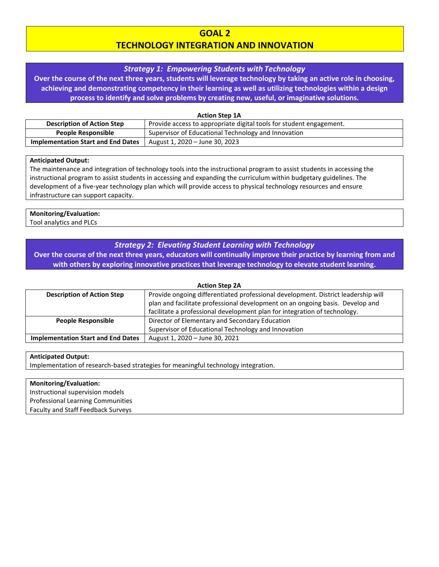### **GOAL 2 TECHNOLOGY INTEGRATION AND INNOVATION**

#### *Strategy 1: Empowering Students with Technology*

**Over the course of the next three years, students will leverage technology by taking an active role in choosing, achieving and demonstrating competency in their learning as well as utilizing technologies within a design process to identify and solve problems by creating new, useful, or imaginative solutions.**

| <b>Action Step 1A</b>                     |                                                                     |
|-------------------------------------------|---------------------------------------------------------------------|
| <b>Description of Action Step</b>         | Provide access to appropriate digital tools for student engagement. |
| <b>People Responsible</b>                 | Supervisor of Educational Technology and Innovation                 |
| <b>Implementation Start and End Dates</b> | August 1, 2020 – June 30, 2023                                      |

#### **Anticipated Output:**

The maintenance and integration of technology tools into the instructional program to assist students in accessing the instructional program to assist students in accessing and expanding the curriculum within budgetary guidelines. The development of a five-year technology plan which will provide access to physical technology resources and ensure infrastructure can support capacity.

### **Monitoring/Evaluation:**

Tool analytics and PLCs

### *Strategy 2: Elevating Student Learning with Technology*

**Over the course of the next three years, educators will continually improve their practice by learning from and with others by exploring innovative practices that leverage technology to elevate student learning.**

| <b>Action Step 2A</b>                     |                                                                                   |
|-------------------------------------------|-----------------------------------------------------------------------------------|
| <b>Description of Action Step</b>         | Provide ongoing differentiated professional development. District leadership will |
|                                           | plan and facilitate professional development on an ongoing basis. Develop and     |
|                                           | facilitate a professional development plan for integration of technology.         |
| People Responsible                        | Director of Elementary and Secondary Education                                    |
|                                           | Supervisor of Educational Technology and Innovation                               |
| <b>Implementation Start and End Dates</b> | August 1, 2020 - June 30, 2021                                                    |

#### **Anticipated Output:**

Implementation of research-based strategies for meaningful technology integration.

#### **Monitoring/Evaluation:**

Instructional supervision models Professional Learning Communities Faculty and Staff Feedback Surveys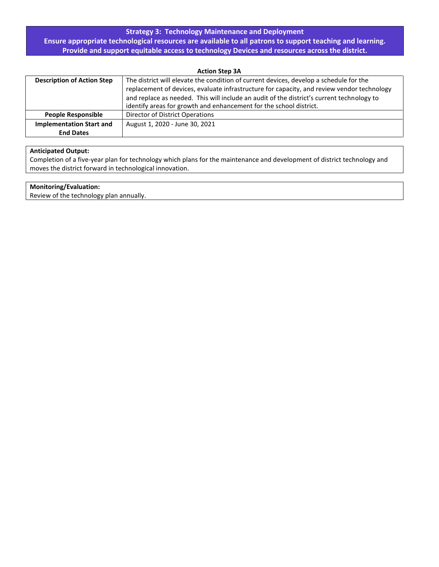### **Strategy 3: Technology Maintenance and Deployment**

**Ensure appropriate technological resources are available to all patrons to support teaching and learning. Provide and support equitable access to technology Devices and resources across the district.**

**Action Step 3A**

| <b>Description of Action Step</b> | The district will elevate the condition of current devices, develop a schedule for the<br>replacement of devices, evaluate infrastructure for capacity, and review vendor technology |
|-----------------------------------|--------------------------------------------------------------------------------------------------------------------------------------------------------------------------------------|
|                                   | and replace as needed. This will include an audit of the district's current technology to<br>identify areas for growth and enhancement for the school district.                      |
| <b>People Responsible</b>         | Director of District Operations                                                                                                                                                      |
| <b>Implementation Start and</b>   | August 1, 2020 - June 30, 2021                                                                                                                                                       |
| <b>End Dates</b>                  |                                                                                                                                                                                      |

#### **Anticipated Output:**

Completion of a five-year plan for technology which plans for the maintenance and development of district technology and moves the district forward in technological innovation.

#### **Monitoring/Evaluation:**

Review of the technology plan annually.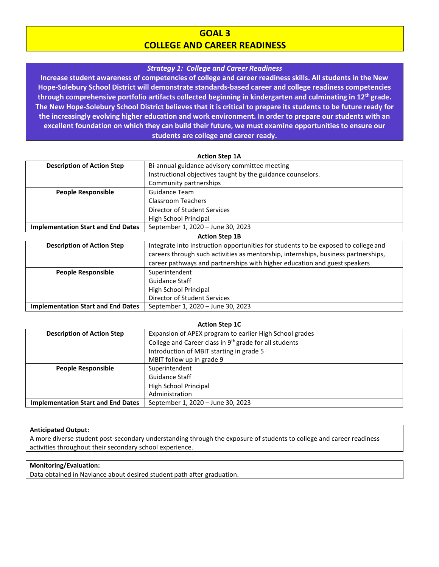### **GOAL 3 COLLEGE AND CAREER READINESS**

#### *Strategy 1: College and Career Readiness*

**Increase student awareness of competencies of college and career readiness skills. All students in the New Hope-Solebury School District will demonstrate standards-based career and college readiness competencies through comprehensive portfolio artifacts collected beginning in kindergarten and culminating in 12th grade. The New Hope-Solebury School District believes that it is critical to prepare its students to be future ready for the increasingly evolving higher education and work environment. In order to prepare our students with an excellent foundation on which they can build their future, we must examine opportunities to ensure our students are college and career ready.**

| <b>Action Step 1A</b>                     |                                                                                    |
|-------------------------------------------|------------------------------------------------------------------------------------|
| <b>Description of Action Step</b>         | Bi-annual guidance advisory committee meeting                                      |
|                                           | Instructional objectives taught by the guidance counselors.                        |
|                                           | Community partnerships                                                             |
| <b>People Responsible</b>                 | Guidance Team                                                                      |
|                                           | Classroom Teachers                                                                 |
|                                           | Director of Student Services                                                       |
|                                           | High School Principal                                                              |
| <b>Implementation Start and End Dates</b> | September 1, 2020 - June 30, 2023                                                  |
| <b>Action Step 1B</b>                     |                                                                                    |
| <b>Description of Action Step</b>         | Integrate into instruction opportunities for students to be exposed to college and |
|                                           | careers through such activities as mentorship, internships, business partnerships, |
|                                           | career pathways and partnerships with higher education and guest speakers          |
| <b>People Responsible</b>                 | Superintendent                                                                     |
|                                           | Guidance Staff                                                                     |
|                                           | High School Principal                                                              |
|                                           | Director of Student Services                                                       |
| <b>Implementation Start and End Dates</b> | September 1, 2020 – June 30, 2023                                                  |

| <b>Action Step 1C</b>                     |                                                                    |
|-------------------------------------------|--------------------------------------------------------------------|
| <b>Description of Action Step</b>         | Expansion of APEX program to earlier High School grades            |
|                                           | College and Career class in 9 <sup>th</sup> grade for all students |
|                                           | Introduction of MBIT starting in grade 5                           |
|                                           | MBIT follow up in grade 9                                          |
| <b>People Responsible</b>                 | Superintendent                                                     |
|                                           | Guidance Staff                                                     |
|                                           | High School Principal                                              |
|                                           | Administration                                                     |
| <b>Implementation Start and End Dates</b> | September 1, 2020 - June 30, 2023                                  |

#### **Anticipated Output:**

A more diverse student post-secondary understanding through the exposure of students to college and career readiness activities throughout their secondary school experience.

#### **Monitoring/Evaluation:**

Data obtained in Naviance about desired student path after graduation.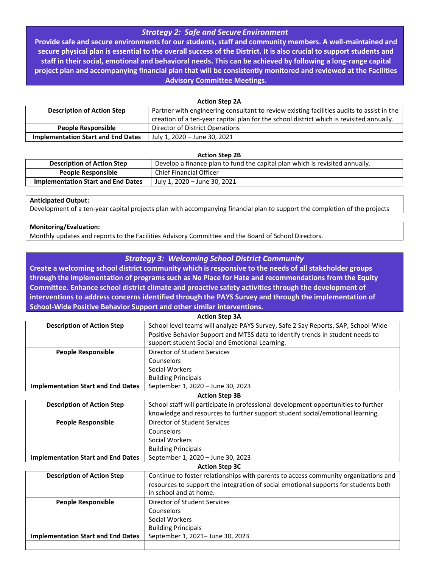### *Strategy 2: Safe and Secure Environment*

**Provide safe and secure environments for our students, staff and community members. A well-maintained and secure physical plan is essential to the overall success of the District. It is also crucial to support students and staff in their social, emotional and behavioral needs. This can be achieved by following a long-range capital project plan and accompanying financial plan that will be consistently monitored and reviewed at the Facilities Advisory Committee Meetings.**

#### **Action Step 2A**

| <b>Description of Action Step</b>         | Partner with engineering consultant to review existing facilities audits to assist in the |
|-------------------------------------------|-------------------------------------------------------------------------------------------|
|                                           | creation of a ten-year capital plan for the school district which is revisited annually.  |
| <b>People Responsible</b>                 | Director of District Operations                                                           |
| <b>Implementation Start and End Dates</b> | July 1, 2020 - June 30, 2021                                                              |

#### **Action Step 2B**

| <b>Description of Action Step</b>  | Develop a finance plan to fund the capital plan which is revisited annually. |
|------------------------------------|------------------------------------------------------------------------------|
| <b>People Responsible</b>          | <b>Chief Financial Officer</b>                                               |
| Implementation Start and End Dates | July 1, 2020 - June 30, 2021                                                 |

#### **Anticipated Output:**

Development of a ten-year capital projects plan with accompanying financial plan to support the completion of the projects

#### **Monitoring/Evaluation:**

Monthly updates and reports to the Facilities Advisory Committee and the Board of School Directors.

#### *Strategy 3: Welcoming School District Community*

**Create a welcoming school district community which is responsive to the needs of all stakeholder groups through the implementation of programs such as No Place for Hate and recommendations from the Equity Committee. Enhance school district climate and proactive safety activities through the development of interventions to address concerns identified through the PAYS Survey and through the implementation of School-Wide Positive Behavior Support and other similar interventions.**

| <b>ACTION STEP SA</b>                     |                                                                                   |
|-------------------------------------------|-----------------------------------------------------------------------------------|
| <b>Description of Action Step</b>         | School level teams will analyze PAYS Survey, Safe 2 Say Reports, SAP, School-Wide |
|                                           | Positive Behavior Support and MTSS data to identify trends in student needs to    |
|                                           | support student Social and Emotional Learning.                                    |
| <b>People Responsible</b>                 | Director of Student Services                                                      |
|                                           | Counselors                                                                        |
|                                           | Social Workers                                                                    |
|                                           | <b>Building Principals</b>                                                        |
| <b>Implementation Start and End Dates</b> | September 1, 2020 - June 30, 2023                                                 |

**Action Step 3A**

#### **Action Step 3B**

| <b>Description of Action Step</b>         | School staff will participate in professional development opportunities to further |
|-------------------------------------------|------------------------------------------------------------------------------------|
|                                           | knowledge and resources to further support student social/emotional learning.      |
| <b>People Responsible</b>                 | Director of Student Services                                                       |
|                                           | Counselors                                                                         |
|                                           | Social Workers                                                                     |
|                                           | <b>Building Principals</b>                                                         |
| <b>Implementation Start and End Dates</b> | September 1, 2020 - June 30, 2023                                                  |

#### **Action Step 3C**

| <b>Description of Action Step</b>         | Continue to foster relationships with parents to access community organizations and<br>resources to support the integration of social emotional supports for students both<br>in school and at home. |
|-------------------------------------------|------------------------------------------------------------------------------------------------------------------------------------------------------------------------------------------------------|
| <b>People Responsible</b>                 | Director of Student Services                                                                                                                                                                         |
|                                           | Counselors                                                                                                                                                                                           |
|                                           | Social Workers                                                                                                                                                                                       |
|                                           | <b>Building Principals</b>                                                                                                                                                                           |
| <b>Implementation Start and End Dates</b> | September 1, 2021- June 30, 2023                                                                                                                                                                     |
|                                           |                                                                                                                                                                                                      |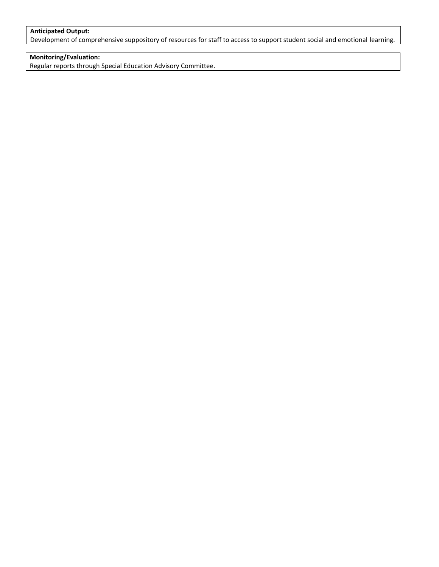#### **Anticipated Output:**

Development of comprehensive suppository of resources for staff to access to support student social and emotional learning.

### **Monitoring/Evaluation:**

Regular reports through Special Education Advisory Committee.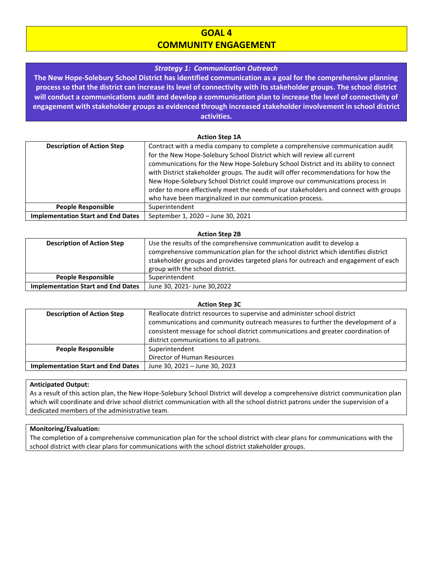### **GOAL 4 COMMUNITY ENGAGEMENT**

#### *Strategy 1: Communication Outreach*

**The New Hope-Solebury School District has identified communication as a goal for the comprehensive planning process so that the district can increase its level of connectivity with its stakeholder groups. The school district will conduct a communications audit and develop a communication plan to increase the level of connectivity of engagement with stakeholder groups as evidenced through increased stakeholder involvement in school district activities.**

#### **Action Step 1A**

| <b>Description of Action Step</b>         | Contract with a media company to complete a comprehensive communication audit        |
|-------------------------------------------|--------------------------------------------------------------------------------------|
|                                           | for the New Hope-Solebury School District which will review all current              |
|                                           | communications for the New Hope-Solebury School District and its ability to connect  |
|                                           | with District stakeholder groups. The audit will offer recommendations for how the   |
|                                           | New Hope-Solebury School District could improve our communications process in        |
|                                           | order to more effectively meet the needs of our stakeholders and connect with groups |
|                                           | who have been marginalized in our communication process.                             |
| <b>People Responsible</b>                 | Superintendent                                                                       |
| <b>Implementation Start and End Dates</b> | September 1, 2020 - June 30, 2021                                                    |

#### **Action Step 2B**

| <b>Description of Action Step</b>         | Use the results of the comprehensive communication audit to develop a              |
|-------------------------------------------|------------------------------------------------------------------------------------|
|                                           | comprehensive communication plan for the school district which identifies district |
|                                           | stakeholder groups and provides targeted plans for outreach and engagement of each |
|                                           | group with the school district.                                                    |
| <b>People Responsible</b>                 | Superintendent                                                                     |
| <b>Implementation Start and End Dates</b> | June 30, 2021- June 30, 2022                                                       |

#### **Action Step 3C**

| <b>Description of Action Step</b>         | Reallocate district resources to supervise and administer school district         |
|-------------------------------------------|-----------------------------------------------------------------------------------|
|                                           | communications and community outreach measures to further the development of a    |
|                                           | consistent message for school district communications and greater coordination of |
|                                           | district communications to all patrons.                                           |
| <b>People Responsible</b>                 | Superintendent                                                                    |
|                                           | Director of Human Resources                                                       |
| <b>Implementation Start and End Dates</b> | June 30, 2021 - June 30, 2023                                                     |

#### **Anticipated Output:**

As a result of this action plan, the New Hope-Solebury School District will develop a comprehensive district communication plan which will coordinate and drive school district communication with all the school district patrons under the supervision of a dedicated members of the administrative team.

#### **Monitoring/Evaluation:**

The completion of a comprehensive communication plan for the school district with clear plans for communications with the school district with clear plans for communications with the school district stakeholder groups.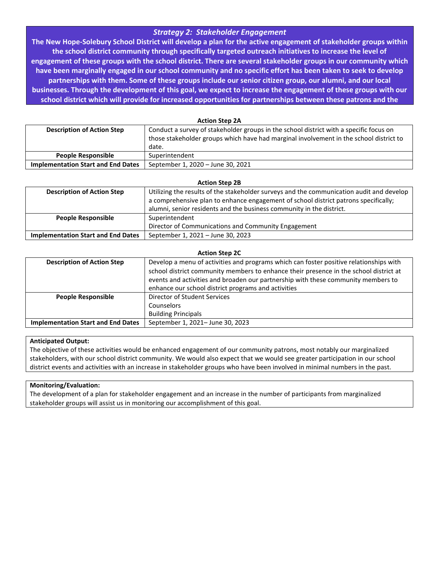### *Strategy 2: Stakeholder Engagement*

**The New Hope-Solebury School District will develop a plan for the active engagement of stakeholder groups within the school district community through specifically targeted outreach initiatives to increase the level of engagement of these groups with the school district. There are several stakeholder groups in our community which have been marginally engaged in our school community and no specific effort has been taken to seek to develop partnerships with them. Some of these groups include our senior citizen group, our alumni, and our local businesses. Through the development of this goal, we expect to increase the engagement of these groups with our school district which will provide for increased opportunities for partnerships between these patrons and the** 

**Action Step 2A**

| <b>Description of Action Step</b>         | Conduct a survey of stakeholder groups in the school district with a specific focus on<br>those stakeholder groups which have had marginal involvement in the school district to<br>date. |
|-------------------------------------------|-------------------------------------------------------------------------------------------------------------------------------------------------------------------------------------------|
| <b>People Responsible</b>                 | Superintendent                                                                                                                                                                            |
| <b>Implementation Start and End Dates</b> | September 1, 2020 - June 30, 2021                                                                                                                                                         |

| <b>Action Step 2B</b> |  |
|-----------------------|--|
|                       |  |

| <b>Description of Action Step</b>         | Utilizing the results of the stakeholder surveys and the communication audit and develop |
|-------------------------------------------|------------------------------------------------------------------------------------------|
|                                           | a comprehensive plan to enhance engagement of school district patrons specifically;      |
|                                           | alumni, senior residents and the business community in the district.                     |
| <b>People Responsible</b>                 | Superintendent                                                                           |
|                                           | Director of Communications and Community Engagement                                      |
| <b>Implementation Start and End Dates</b> | September 1, 2021 - June 30, 2023                                                        |

| <b>Action Step 2C</b> |  |  |
|-----------------------|--|--|
|-----------------------|--|--|

| Develop a menu of activities and programs which can foster positive relationships with |
|----------------------------------------------------------------------------------------|
| school district community members to enhance their presence in the school district at  |
| events and activities and broaden our partnership with these community members to      |
| enhance our school district programs and activities                                    |
| Director of Student Services                                                           |
| Counselors                                                                             |
| <b>Building Principals</b>                                                             |
| September 1, 2021- June 30, 2023                                                       |
|                                                                                        |

#### **Anticipated Output:**

The objective of these activities would be enhanced engagement of our community patrons, most notably our marginalized stakeholders, with our school district community. We would also expect that we would see greater participation in our school district events and activities with an increase in stakeholder groups who have been involved in minimal numbers in the past.

#### **Monitoring/Evaluation:**

The development of a plan for stakeholder engagement and an increase in the number of participants from marginalized stakeholder groups will assist us in monitoring our accomplishment of this goal.